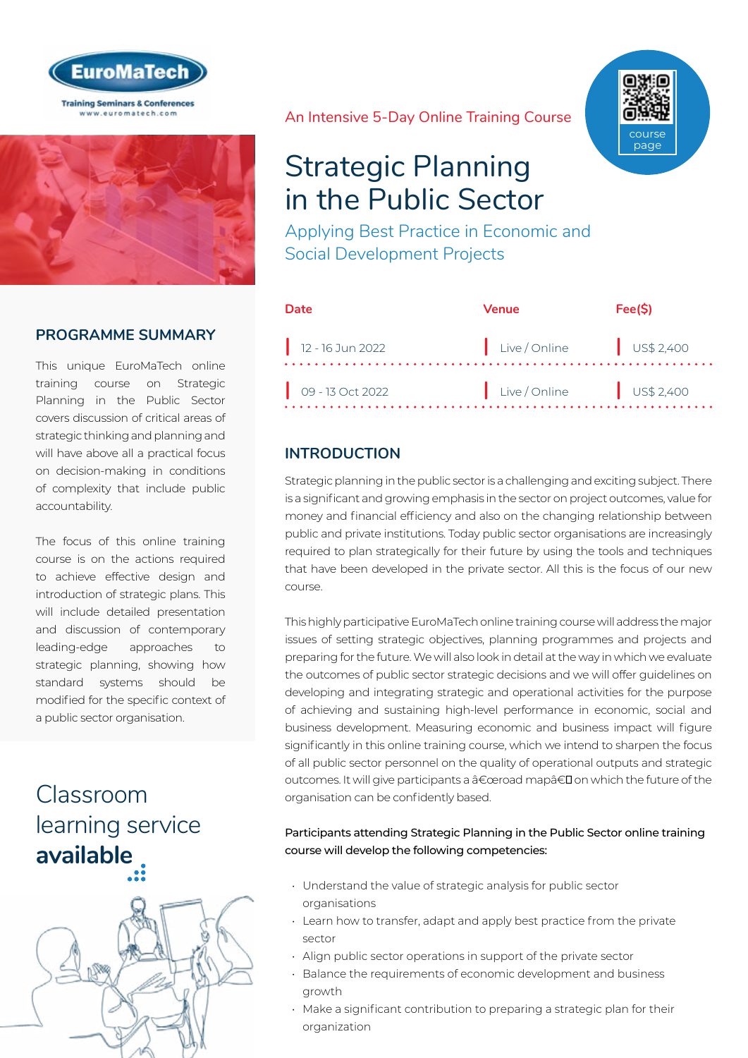



### **PROGRAMME SUMMARY**

This unique EuroMaTech online training course on Strategic Planning in the Public Sector covers discussion of critical areas of strategic thinking and planning and will have above all a practical focus on decision-making in conditions of complexity that include public accountability.

The focus of this online training course is on the actions required to achieve effective design and introduction of strategic plans. This will include detailed presentation and discussion of contemporary leading-edge approaches to strategic planning, showing how standard systems should be modified for the specific context of a public sector organisation.

# Classroom [learning service](https://www.euromatech.com/seminars/strategic-planning-public-sector/)  **available**



An Intensive 5-Day Online Training Course

# Strategic Planning in the Public Sector

Applying Best Practice in Economic and Social Development Projects

| Date                           | Venue                  | Fee(S) |
|--------------------------------|------------------------|--------|
| $\frac{1}{2}$ 12 - 16 Jun 2022 | Live/Online US\$ 2,400 |        |
| $09 - 13$ Oct 2022             | Live/Online US\$ 2,400 |        |

### **INTRODUCTION**

Strategic planning in the public sector is a challenging and exciting subject. There is a significant and growing emphasis in the sector on project outcomes, value for money and financial efficiency and also on the changing relationship between public and private institutions. Today public sector organisations are increasingly required to plan strategically for their future by using the tools and techniques that have been developed in the private sector. All this is the focus of our new course.

This highly participative EuroMaTech online training course will address the major issues of setting strategic objectives, planning programmes and projects and preparing for the future. We will also look in detail at the way in which we evaluate the outcomes of public sector strategic decisions and we will offer guidelines on developing and integrating strategic and operational activities for the purpose of achieving and sustaining high-level performance in economic, social and business development. Measuring economic and business impact will figure significantly in this online training course, which we intend to sharpen the focus of all public sector personnel on the quality of operational outputs and strategic outcomes. It will give participants a "road map†on which the future of the organisation can be confidently based.

#### Participants attending Strategic Planning in the Public Sector online training course will develop the following competencies:

- Understand the value of strategic analysis for public sector organisations
- Learn how to transfer, adapt and apply best practice from the private sector
- Align public sector operations in support of the private sector
- Balance the requirements of economic development and business growth
- Make a significant contribution to preparing a strategic plan for their organization

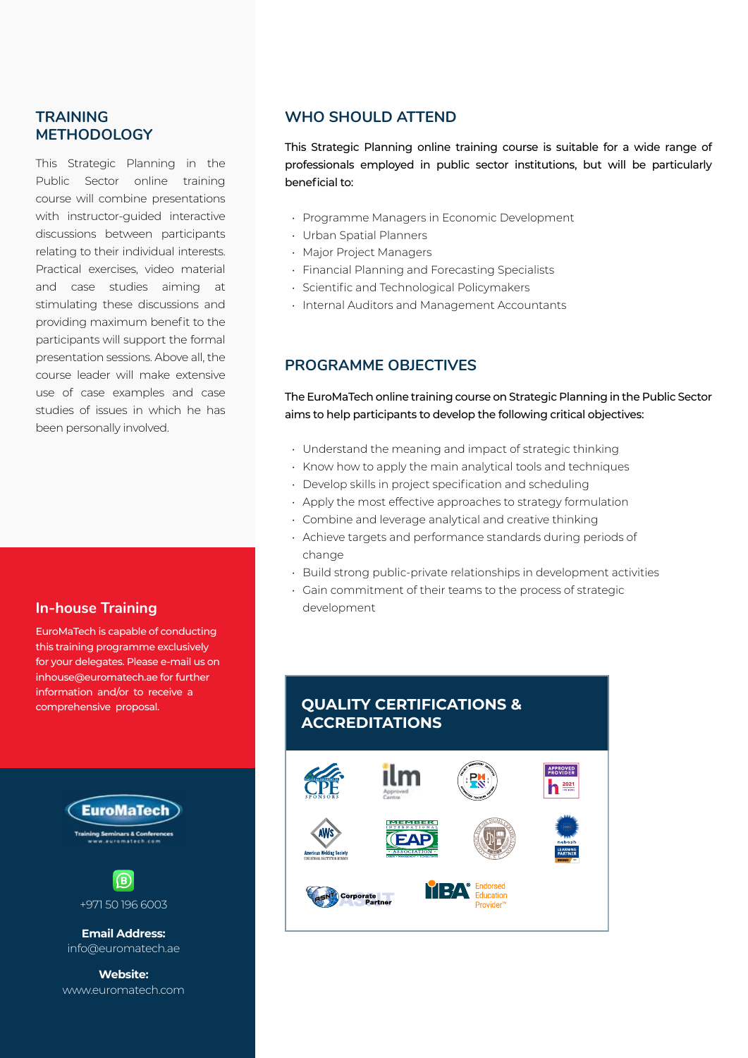### **TRAINING METHODOLOGY**

This Strategic Planning in the Public Sector online training course will combine presentations with instructor-guided interactive discussions between participants relating to their individual interests. Practical exercises, video material and case studies aiming at stimulating these discussions and providing maximum benefit to the participants will support the formal presentation sessions. Above all, the course leader will make extensive use of case examples and case studies of issues in which he has been personally involved.

#### **In-house Training**

EuroMaTech is capable of conducting this training programme exclusively for your delegates. Please e-mail us on inhouse@euromatech.ae for further information and/or to receive a comprehensive proposal.





**Email Address:** info@euromatech.ae

**Website:** www.euromatech.com

#### **WHO SHOULD ATTEND**

This Strategic Planning online training course is suitable for a wide range of professionals employed in public sector institutions, but will be particularly beneficial to:

- Programme Managers in Economic Development
- Urban Spatial Planners
- Major Project Managers
- Financial Planning and Forecasting Specialists
- Scientific and Technological Policymakers
- Internal Auditors and Management Accountants

#### **PROGRAMME OBJECTIVES**

The EuroMaTech online training course on Strategic Planning in the Public Sector aims to help participants to develop the following critical objectives:

- Understand the meaning and impact of strategic thinking
- Know how to apply the main analytical tools and techniques
- Develop skills in project specification and scheduling
- Apply the most effective approaches to strategy formulation
- Combine and leverage analytical and creative thinking
- Achieve targets and performance standards during periods of change
- Build strong public-private relationships in development activities
- Gain commitment of their teams to the process of strategic development

# **QUALITY CERTIFICATIONS & ACCREDITATIONS**

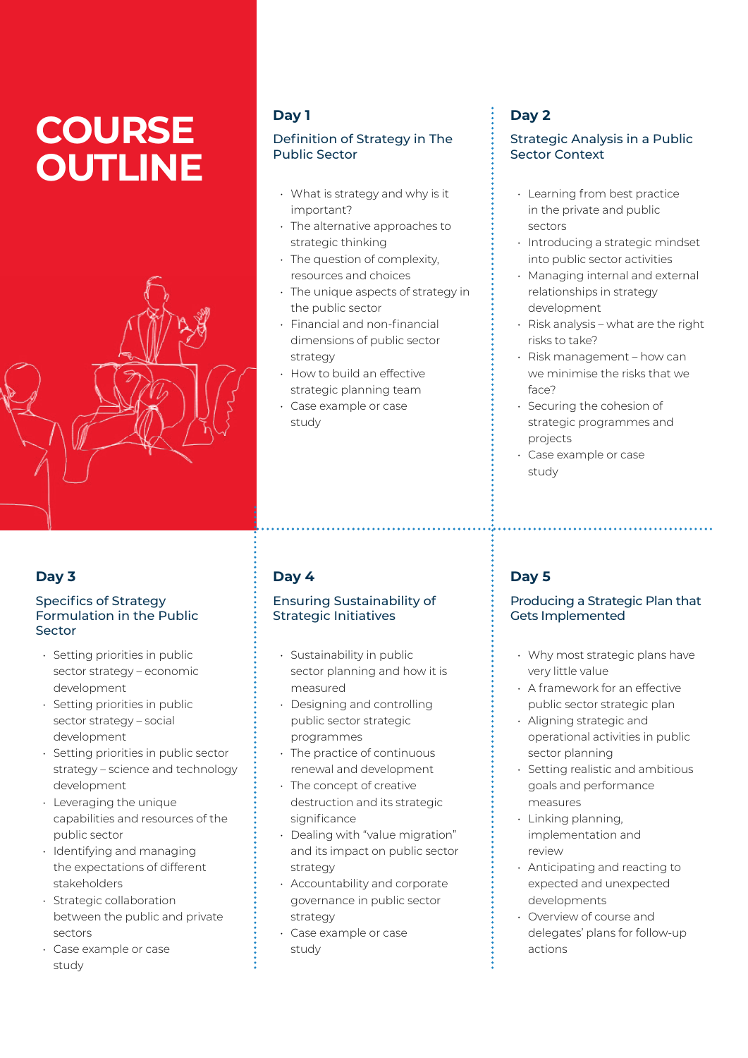# **COURSE OUTLINE**



### **Day 3**

#### Specifics of Strategy Formulation in the Public Sector

- Setting priorities in public sector strategy – economic development
- Setting priorities in public sector strategy – social development
- Setting priorities in public sector strategy – science and technology development
- Leveraging the unique capabilities and resources of the public sector
- Identifying and managing the expectations of different stakeholders
- Strategic collaboration between the public and private sectors
- Case example or case study

# **Day 1**

#### Definition of Strategy in The Public Sector

- What is strategy and why is it important?
- The alternative approaches to strategic thinking
- The question of complexity, resources and choices
- The unique aspects of strategy in the public sector
- Financial and non-financial dimensions of public sector strategy
- How to build an effective strategic planning team
- Case example or case study

# **Day 2**

#### Strategic Analysis in a Public Sector Context

- Learning from best practice in the private and public sectors
- Introducing a strategic mindset into public sector activities
- Managing internal and external relationships in strategy development
- Risk analysis what are the right risks to take?
- Risk management how can we minimise the risks that we face?
- Securing the cohesion of strategic programmes and projects
- Case example or case study

# **Day 4**

#### Ensuring Sustainability of Strategic Initiatives

- Sustainability in public sector planning and how it is measured
- Designing and controlling public sector strategic programmes
- The practice of continuous renewal and development
- The concept of creative destruction and its strategic significance
- Dealing with "value migration" and its impact on public sector strategy
- Accountability and corporate governance in public sector strategy
- Case example or case study

# **Day 5**

#### Producing a Strategic Plan that Gets Implemented

- Why most strategic plans have very little value
- A framework for an effective public sector strategic plan
- Aligning strategic and operational activities in public sector planning
- Setting realistic and ambitious goals and performance measures
- Linking planning, implementation and review
- Anticipating and reacting to expected and unexpected developments
- Overview of course and delegates' plans for follow-up actions